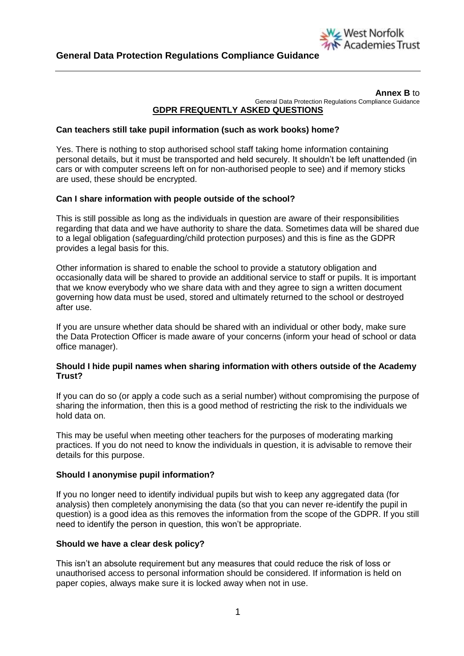

#### **Annex B** to General Data Protection Regulations Compliance Guidance **GDPR FREQUENTLY ASKED QUESTIONS**

## **Can teachers still take pupil information (such as work books) home?**

Yes. There is nothing to stop authorised school staff taking home information containing personal details, but it must be transported and held securely. It shouldn't be left unattended (in cars or with computer screens left on for non-authorised people to see) and if memory sticks are used, these should be encrypted.

### **Can I share information with people outside of the school?**

This is still possible as long as the individuals in question are aware of their responsibilities regarding that data and we have authority to share the data. Sometimes data will be shared due to a legal obligation (safeguarding/child protection purposes) and this is fine as the GDPR provides a legal basis for this.

Other information is shared to enable the school to provide a statutory obligation and occasionally data will be shared to provide an additional service to staff or pupils. It is important that we know everybody who we share data with and they agree to sign a written document governing how data must be used, stored and ultimately returned to the school or destroyed after use.

If you are unsure whether data should be shared with an individual or other body, make sure the Data Protection Officer is made aware of your concerns (inform your head of school or data office manager).

### **Should I hide pupil names when sharing information with others outside of the Academy Trust?**

If you can do so (or apply a code such as a serial number) without compromising the purpose of sharing the information, then this is a good method of restricting the risk to the individuals we hold data on.

This may be useful when meeting other teachers for the purposes of moderating marking practices. If you do not need to know the individuals in question, it is advisable to remove their details for this purpose.

### **Should I anonymise pupil information?**

If you no longer need to identify individual pupils but wish to keep any aggregated data (for analysis) then completely anonymising the data (so that you can never re-identify the pupil in question) is a good idea as this removes the information from the scope of the GDPR. If you still need to identify the person in question, this won't be appropriate.

### **Should we have a clear desk policy?**

This isn't an absolute requirement but any measures that could reduce the risk of loss or unauthorised access to personal information should be considered. If information is held on paper copies, always make sure it is locked away when not in use.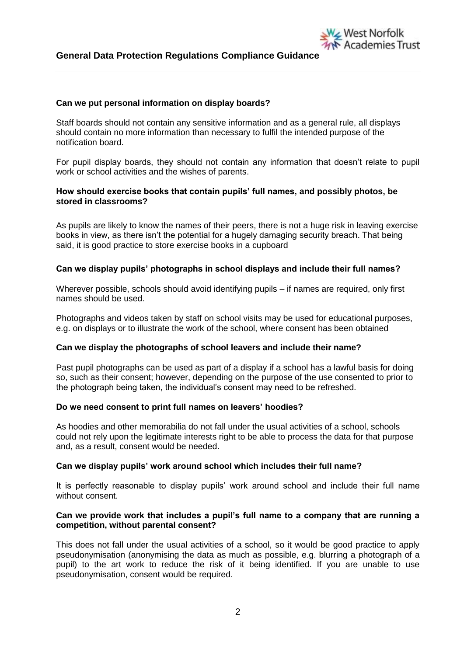### **Can we put personal information on display boards?**

Staff boards should not contain any sensitive information and as a general rule, all displays should contain no more information than necessary to fulfil the intended purpose of the notification board.

For pupil display boards, they should not contain any information that doesn't relate to pupil work or school activities and the wishes of parents.

West Norfolk

**Academies Trust** 

### **How should exercise books that contain pupils' full names, and possibly photos, be stored in classrooms?**

As pupils are likely to know the names of their peers, there is not a huge risk in leaving exercise books in view, as there isn't the potential for a hugely damaging security breach. That being said, it is good practice to store exercise books in a cupboard

### **Can we display pupils' photographs in school displays and include their full names?**

Wherever possible, schools should avoid identifying pupils – if names are required, only first names should be used.

Photographs and videos taken by staff on school visits may be used for educational purposes, e.g. on displays or to illustrate the work of the school, where consent has been obtained

### **Can we display the photographs of school leavers and include their name?**

Past pupil photographs can be used as part of a display if a school has a lawful basis for doing so, such as their consent; however, depending on the purpose of the use consented to prior to the photograph being taken, the individual's consent may need to be refreshed.

### **Do we need consent to print full names on leavers' hoodies?**

As hoodies and other memorabilia do not fall under the usual activities of a school, schools could not rely upon the legitimate interests right to be able to process the data for that purpose and, as a result, consent would be needed.

### **Can we display pupils' work around school which includes their full name?**

It is perfectly reasonable to display pupils' work around school and include their full name without consent.

### **Can we provide work that includes a pupil's full name to a company that are running a competition, without parental consent?**

This does not fall under the usual activities of a school, so it would be good practice to apply pseudonymisation (anonymising the data as much as possible, e.g. blurring a photograph of a pupil) to the art work to reduce the risk of it being identified. If you are unable to use pseudonymisation, consent would be required.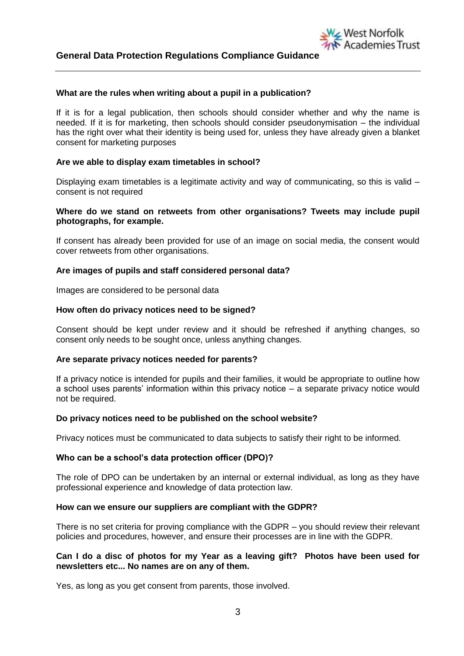### **What are the rules when writing about a pupil in a publication?**

If it is for a legal publication, then schools should consider whether and why the name is needed. If it is for marketing, then schools should consider pseudonymisation – the individual has the right over what their identity is being used for, unless they have already given a blanket consent for marketing purposes

West Norfolk

cademies Trust

### **Are we able to display exam timetables in school?**

Displaying exam timetables is a legitimate activity and way of communicating, so this is valid – consent is not required

### **Where do we stand on retweets from other organisations? Tweets may include pupil photographs, for example.**

If consent has already been provided for use of an image on social media, the consent would cover retweets from other organisations.

### **Are images of pupils and staff considered personal data?**

Images are considered to be personal data

### **How often do privacy notices need to be signed?**

Consent should be kept under review and it should be refreshed if anything changes, so consent only needs to be sought once, unless anything changes.

### **Are separate privacy notices needed for parents?**

If a privacy notice is intended for pupils and their families, it would be appropriate to outline how a school uses parents' information within this privacy notice – a separate privacy notice would not be required.

### **Do privacy notices need to be published on the school website?**

Privacy notices must be communicated to data subjects to satisfy their right to be informed.

### **Who can be a school's data protection officer (DPO)?**

The role of DPO can be undertaken by an internal or external individual, as long as they have professional experience and knowledge of data protection law.

### **How can we ensure our suppliers are compliant with the GDPR?**

There is no set criteria for proving compliance with the GDPR – you should review their relevant policies and procedures, however, and ensure their processes are in line with the GDPR.

### **Can I do a disc of photos for my Year as a leaving gift? Photos have been used for newsletters etc... No names are on any of them.**

Yes, as long as you get consent from parents, those involved.